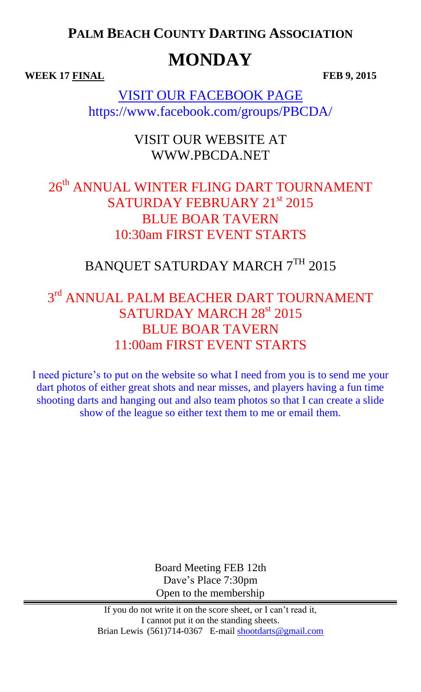**PALM BEACH COUNTY DARTING ASSOCIATION**

# **MONDAY**

**WEEK** 17 FINAL FEB 9, 2015

VISIT OUR FACEBOOK PAGE https://www.facebook.com/groups/PBCDA/

> VISIT OUR WEBSITE AT WWW.PBCDA.NET

### 26<sup>th</sup> ANNUAL WINTER FLING DART TOURNAMENT SATURDAY FEBRUARY 21st 2015 BLUE BOAR TAVERN 10:30am FIRST EVENT STARTS

# BANQUET SATURDAY MARCH 7TH 2015

## $3<sup>rd</sup>$  ANNUAL PALM BEACHER DART TOURNAMENT SATURDAY MARCH 28<sup>st</sup> 2015 BLUE BOAR TAVERN 11:00am FIRST EVENT STARTS

I need picture's to put on the website so what I need from you is to send me your dart photos of either great shots and near misses, and players having a fun time shooting darts and hanging out and also team photos so that I can create a slide show of the league so either text them to me or email them.

> Board Meeting FEB 12th Dave's Place 7:30pm Open to the membership

If you do not write it on the score sheet, or I can't read it, I cannot put it on the standing sheets. Brian Lewis (561)714-0367 E-mail [shootdarts@gmail.com](mailto:shootdarts@gmail.com)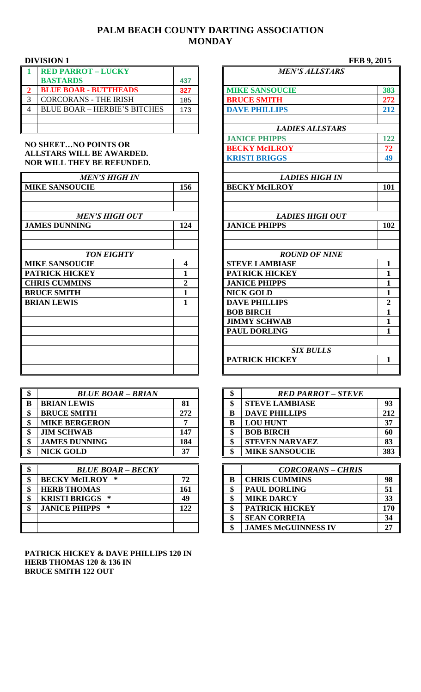### **PALM BEACH COUNTY DARTING ASSOCIATION MONDAY**

| <b>RED PARROT - LUCKY</b>           |     |
|-------------------------------------|-----|
| <b>BASTARDS</b>                     | 437 |
| <b>BLUE BOAR - BUTTHEADS</b>        | 327 |
| <b>CORCORANS - THE IRISH</b>        | 185 |
| <b>BLUE BOAR - HERBIE'S BITCHES</b> | 173 |
|                                     |     |
|                                     |     |

#### **NO SHEET…NO POINTS OR ALLSTARS WILL BE AWARDED. NOR WILL THEY BE REFUNDED.**

| <b>MEN'S HIGH IN</b>  |                | <b>LADIES HIGH IN</b>  |                  |
|-----------------------|----------------|------------------------|------------------|
| <b>MIKE SANSOUCIE</b> | 156            | <b>BECKY McILROY</b>   | 101              |
| <b>MEN'S HIGH OUT</b> |                | <b>LADIES HIGH OUT</b> |                  |
| <b>JAMES DUNNING</b>  | 124            | <b>JANICE PHIPPS</b>   | 102              |
|                       |                |                        |                  |
| <b>TON EIGHTY</b>     |                | <b>ROUND OF NINE</b>   |                  |
| <b>MIKE SANSOUCIE</b> | 4              | <b>STEVE LAMBIASE</b>  | $\mathbf{1}$     |
| <b>PATRICK HICKEY</b> |                | <b>PATRICK HICKEY</b>  | $\mathbf{1}$     |
| <b>CHRIS CUMMINS</b>  | $\overline{2}$ | <b>JANICE PHIPPS</b>   | $\mathbf{1}$     |
| <b>BRUCE SMITH</b>    | $\mathbf{1}$   | <b>NICK GOLD</b>       | $\mathbf{1}$     |
| <b>BRIAN LEWIS</b>    |                | <b>DAVE PHILLIPS</b>   | $\boldsymbol{2}$ |
|                       |                | <b>BOB BIRCH</b>       | $\mathbf{1}$     |
|                       |                | <b>JIMMY SCHWAB</b>    | 1                |
|                       |                | <b>PAUL DORLING</b>    | 1                |
|                       |                | <b>SIX BULLS</b>       |                  |
|                       |                | <b>PATRICK HICKEY</b>  | $\mathbf{1}$     |
|                       |                |                        |                  |

| D | <b>BLUE BOAR - BRIAN</b> |     | D |   | <b>RED PARROT - STEVE</b> |     |
|---|--------------------------|-----|---|---|---------------------------|-----|
|   | <b>BRIAN LEWIS</b>       | 81  |   | ¢ | <b>STEVE LAMBIASE</b>     | 93  |
|   | <b>BRUCE SMITH</b>       | 272 |   | B | <b>DAVE PHILLIPS</b>      | 212 |
|   | <b>MIKE BERGERON</b>     |     |   | B | <b>LOU HUNT</b>           | 37  |
|   | <b>JIM SCHWAB</b>        | 147 |   |   | <b>BOB BIRCH</b>          | 60  |
|   | <b>JAMES DUNNING</b>     | 184 |   |   | <b>STEVEN NARVAEZ</b>     | 83  |
|   | <b>NICK GOLD</b>         | 37  |   |   | <b>MIKE SANSOUCIE</b>     | 383 |

| Φ | <b>BLUE BOAR - BECKY</b> |     |   | <b>CORCORANS - CHRIS</b>   |     |
|---|--------------------------|-----|---|----------------------------|-----|
|   | <b>BECKY McILROY *</b>   | 72  | B | <b>CHRIS CUMMINS</b>       | 98  |
|   | <b>HERB THOMAS</b>       | 161 | Ф | <b>PAUL DORLING</b>        | 51  |
|   | <b>KRISTI BRIGGS *</b>   | 49  | ጡ | <b>MIKE DARCY</b>          | 33  |
|   | <b>JANICE PHIPPS *</b>   | 122 | ¢ | <b>PATRICK HICKEY</b>      | 170 |
|   |                          |     | ¢ | <b>SEAN CORREIA</b>        | 34  |
|   |                          |     | Ф | <b>JAMES McGUINNESS IV</b> | 27  |

#### **PATRICK HICKEY & DAVE PHILLIPS 120 IN HERB THOMAS 120 & 136 IN BRUCE SMITH 122 OUT**

|                                                      | <b>DIVISION 1</b>                                       |                                                | FEB 9, 2015            |                |
|------------------------------------------------------|---------------------------------------------------------|------------------------------------------------|------------------------|----------------|
| 1                                                    | <b>RED PARROT - LUCKY</b>                               |                                                | <b>MEN'S ALLSTARS</b>  |                |
|                                                      | <b>BASTARDS</b>                                         | 437                                            |                        |                |
| $\overline{2}$                                       | <b>BLUE BOAR - BUTTHEADS</b>                            | 327                                            | <b>MIKE SANSOUCIE</b>  | 383            |
| $\overline{3}$                                       | <b>CORCORANS - THE IRISH</b>                            | 185                                            | <b>BRUCE SMITH</b>     | 272            |
| $\overline{4}$                                       | <b>BLUE BOAR - HERBIE'S BITCHES</b>                     | 173                                            | <b>DAVE PHILLIPS</b>   | 212            |
|                                                      |                                                         |                                                | <b>LADIES ALLSTARS</b> |                |
|                                                      |                                                         |                                                | <b>JANICE PHIPPS</b>   | 122            |
|                                                      | <b>NO SHEETNO POINTS OR</b>                             |                                                | <b>BECKY McILROY</b>   | 72             |
|                                                      | ALLSTARS WILL BE AWARDED.<br>NOR WILL THEY BE REFUNDED. |                                                | <b>KRISTI BRIGGS</b>   | 49             |
|                                                      | <b>MEN'S HIGH IN</b>                                    |                                                | <b>LADIES HIGH IN</b>  |                |
| <b>MIKE SANSOUCIE</b>                                |                                                         | 156                                            | <b>BECKY McILROY</b>   | 101            |
| <b>MEN'S HIGH OUT</b><br><b>JAMES DUNNING</b><br>124 |                                                         | <b>LADIES HIGH OUT</b><br><b>JANICE PHIPPS</b> | 102                    |                |
|                                                      |                                                         |                                                |                        |                |
|                                                      | <b>TON EIGHTY</b>                                       |                                                | <b>ROUND OF NINE</b>   |                |
|                                                      | <b>MIKE SANSOUCIE</b>                                   | 4                                              | <b>STEVE LAMBIASE</b>  | $\mathbf{1}$   |
|                                                      | <b>PATRICK HICKEY</b>                                   | 1                                              | <b>PATRICK HICKEY</b>  | 1              |
|                                                      | <b>CHRIS CUMMINS</b>                                    | $\overline{2}$                                 | <b>JANICE PHIPPS</b>   | $\mathbf{1}$   |
|                                                      | <b>BRUCE SMITH</b>                                      | $\mathbf{1}$                                   | <b>NICK GOLD</b>       | $\mathbf{1}$   |
|                                                      | <b>BRIAN LEWIS</b>                                      | $\mathbf{1}$                                   | <b>DAVE PHILLIPS</b>   | $\overline{2}$ |
|                                                      |                                                         |                                                | <b>BOB BIRCH</b>       | $\mathbf{1}$   |
|                                                      |                                                         |                                                | <b>JIMMY SCHWAB</b>    | $\mathbf{1}$   |
|                                                      |                                                         |                                                | <b>PAUL DORLING</b>    | $\mathbf{1}$   |
|                                                      |                                                         |                                                | <b>SIX BULLS</b>       |                |
|                                                      |                                                         |                                                | <b>PATRICK HICKEY</b>  | $\mathbf{1}$   |
|                                                      |                                                         |                                                |                        |                |

| \$ | <b>BLUE BOAR - BRIAN</b> |     | $\triangle$<br>Φ | <b>RED PARROT – STEVE</b> |     |
|----|--------------------------|-----|------------------|---------------------------|-----|
| R. | <b>BRIAN LEWIS</b>       | 81  |                  | <b>STEVE LAMBIASE</b>     | 93  |
| \$ | <b>BRUCE SMITH</b>       | 272 |                  | <b>DAVE PHILLIPS</b>      | 212 |
| \$ | <b>MIKE BERGERON</b>     |     |                  | <b>LOU HUNT</b>           | 37  |
| \$ | <b>JIM SCHWAB</b>        | 147 | ሖ                | <b>BOB BIRCH</b>          | 60  |
| \$ | <b>JAMES DUNNING</b>     | 184 | ሖ                | <b>STEVEN NARVAEZ</b>     | 83  |
| \$ | <b>NICK GOLD</b>         | 37  | ጡ                | <b>MIKE SANSOUCIE</b>     | 383 |

| ሐ<br>Φ | <b>BLUE BOAR - BECKY</b> |     |  | <b>CORCORANS - CHRIS</b>   |     |
|--------|--------------------------|-----|--|----------------------------|-----|
| \$     | <b>BECKY McILROY *</b>   | 72  |  | <b>CHRIS CUMMINS</b>       | 98  |
| \$     | <b>HERB THOMAS</b>       | 161 |  | <b>PAUL DORLING</b>        | 51  |
| \$     | <b>KRISTI BRIGGS *</b>   | 49  |  | <b>MIKE DARCY</b>          | 33  |
| ¢<br>J | <b>JANICE PHIPPS *</b>   | 122 |  | <b>PATRICK HICKEY</b>      | 170 |
|        |                          |     |  | <b>SEAN CORREIA</b>        | 34  |
|        |                          |     |  | <b>JAMES McGUINNESS IV</b> | 27  |